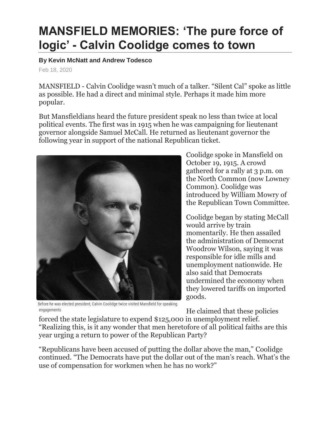## **MANSFIELD MEMORIES: 'The pure force of logic' - Calvin Coolidge comes to town**

## **By Kevin McNatt and Andrew Todesco**

Feb 18, 2020

MANSFIELD - Calvin Coolidge wasn't much of a talker. "Silent Cal" spoke as little as possible. He had a direct and minimal style. Perhaps it made him more popular.

But Mansfieldians heard the future president speak no less than twice at local political events. The first was in 1915 when he was campaigning for lieutenant governor alongside Samuel McCall. He returned as lieutenant governor the following year in support of the national Republican ticket.



Before he was elected president, Calvin Coolidge twice visited Mansfield for speaking engagements

Coolidge spoke in Mansfield on October 19, 1915. A crowd gathered for a rally at 3 p.m. on the North Common (now Lowney Common). Coolidge was introduced by William Mowry of the Republican Town Committee.

Coolidge began by stating McCall would arrive by train momentarily. He then assailed the administration of Democrat Woodrow Wilson, saying it was responsible for idle mills and unemployment nationwide. He also said that Democrats undermined the economy when they lowered tariffs on imported goods.

He claimed that these policies

forced the state legislature to expend \$125,000 in unemployment relief. "Realizing this, is it any wonder that men heretofore of all political faiths are this year urging a return to power of the Republican Party?

"Republicans have been accused of putting the dollar above the man," Coolidge continued. "The Democrats have put the dollar out of the man's reach. What's the use of compensation for workmen when he has no work?"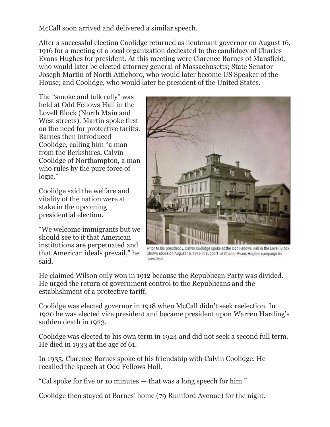McCall soon arrived and delivered a similar speech.

After a successful election Coolidge returned as lieutenant governor on August 16, 1916 for a meeting of a local organization dedicated to the candidacy of Charles Evans Hughes for president. At this meeting were Clarence Barnes of Mansfield, who would later be elected attorney general of Massachusetts; State Senator Joseph Martin of North Attleboro, who would later become US Speaker of the House; and Coolidge, who would later be president of the United States.

The "smoke and talk rally" was held at Odd Fellows Hall in the Lovell Block (North Main and West streets). Martin spoke first on the need for protective tariffs. Barnes then introduced Coolidge, calling him "a man from the Berkshires, Calvin Coolidge of Northampton, a man who rules by the pure force of logic."

Coolidge said the welfare and vitality of the nation were at stake in the upcoming presidential election.

"We welcome immigrants but we should see to it that American institutions are perpetuated and that American ideals prevail," he said.



Prior to his presidency, Calvin Coolidge spoke at the Odd Fellows Hall in the Lovell Block, shown above on August 16, 1916 in support of Charles Evans Hughes campaign for president.

He claimed Wilson only won in 1912 because the Republican Party was divided. He urged the return of government control to the Republicans and the establishment of a protective tariff.

Coolidge was elected governor in 1918 when McCall didn't seek reelection. In 1920 he was elected vice president and became president upon Warren Harding's sudden death in 1923.

Coolidge was elected to his own term in 1924 and did not seek a second full term. He died in 1933 at the age of 61.

In 1935, Clarence Barnes spoke of his friendship with Calvin Coolidge. He recalled the speech at Odd Fellows Hall.

"Cal spoke for five or 10 minutes — that was a long speech for him."

Coolidge then stayed at Barnes' home (79 Rumford Avenue) for the night.